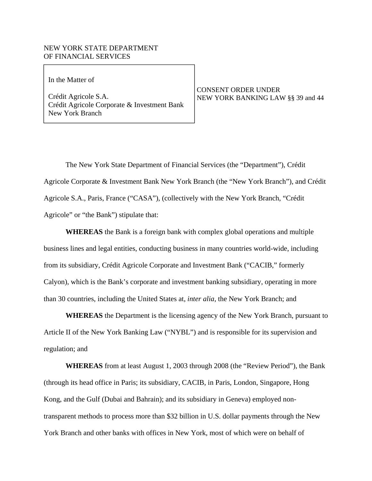# NEW YORK STATE DEPARTMENT OF FINANCIAL SERVICES

 $\mathcal{L}_\text{max}$  and  $\mathcal{L}_\text{max}$  and  $\mathcal{L}_\text{max}$  and  $\mathcal{L}_\text{max}$ In the Matter of In the Matter of

 $\overline{\phantom{a}}$ 

Crédit Agricole S.A. Crédit Agricole Corporate & Investment Bank New York Branch

CONSENT ORDER UNDER NEW YORK BANKING LAW §§ 39 and 44

The New York State Department of Financial Services (the "Department"), Crédit Agricole Corporate & Investment Bank New York Branch (the "New York Branch"), and Crédit Agricole S.A., Paris, France ("CASA"), (collectively with the New York Branch, "Crédit Agricole" or "the Bank") stipulate that:

**WHEREAS** the Bank is a foreign bank with complex global operations and multiple business lines and legal entities, conducting business in many countries world-wide, including from its subsidiary, Crédit Agricole Corporate and Investment Bank ("CACIB," formerly Calyon), which is the Bank's corporate and investment banking subsidiary, operating in more than 30 countries, including the United States at, *inter alia*, the New York Branch; and

**WHEREAS** the Department is the licensing agency of the New York Branch, pursuant to Article II of the New York Banking Law ("NYBL") and is responsible for its supervision and regulation; and

**WHEREAS** from at least August 1, 2003 through 2008 (the "Review Period"), the Bank (through its head office in Paris; its subsidiary, CACIB, in Paris, London, Singapore, Hong Kong, and the Gulf (Dubai and Bahrain); and its subsidiary in Geneva) employed nontransparent methods to process more than \$32 billion in U.S. dollar payments through the New York Branch and other banks with offices in New York, most of which were on behalf of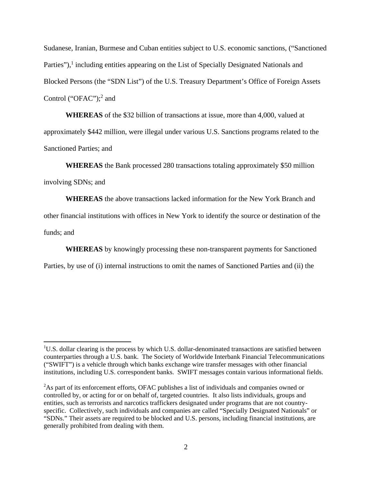Sudanese, Iranian, Burmese and Cuban entities subject to U.S. economic sanctions, ("Sanctioned Parties"),<sup>1</sup> including entities appearing on the List of Specially Designated Nationals and Blocked Persons (the "SDN List") of the U.S. Treasury Department's Office of Foreign Assets Control ("OFAC");<sup>2</sup> and

**WHEREAS** of the \$32 billion of transactions at issue, more than 4,000, valued at approximately \$442 million, were illegal under various U.S. Sanctions programs related to the Sanctioned Parties; and

**WHEREAS** the Bank processed 280 transactions totaling approximately \$50 million involving SDNs; and

**WHEREAS** the above transactions lacked information for the New York Branch and other financial institutions with offices in New York to identify the source or destination of the funds; and

**WHEREAS** by knowingly processing these non-transparent payments for Sanctioned

Parties, by use of (i) internal instructions to omit the names of Sanctioned Parties and (ii) the

 $\overline{\phantom{a}}$ 

<sup>&</sup>lt;sup>1</sup>U.S. dollar clearing is the process by which U.S. dollar-denominated transactions are satisfied between counterparties through a U.S. bank. The Society of Worldwide Interbank Financial Telecommunications ("SWIFT") is a vehicle through which banks exchange wire transfer messages with other financial institutions, including U.S. correspondent banks. SWIFT messages contain various informational fields.

<sup>&</sup>lt;sup>2</sup>As part of its enforcement efforts, OFAC publishes a list of individuals and companies owned or controlled by, or acting for or on behalf of, targeted countries. It also lists individuals, groups and entities, such as terrorists and narcotics traffickers designated under programs that are not countryspecific. Collectively, such individuals and companies are called "Specially Designated Nationals" or "SDNs." Their assets are required to be blocked and U.S. persons, including financial institutions, are generally prohibited from dealing with them.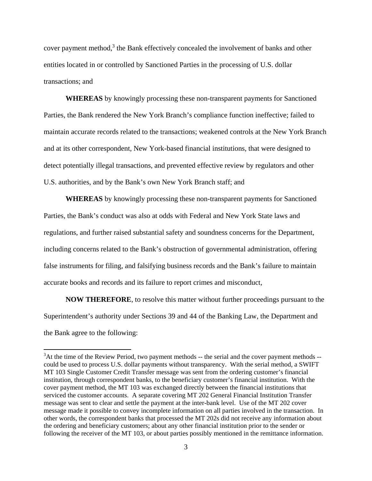cover payment method, $3$  the Bank effectively concealed the involvement of banks and other entities located in or controlled by Sanctioned Parties in the processing of U.S. dollar transactions; and

**WHEREAS** by knowingly processing these non-transparent payments for Sanctioned Parties, the Bank rendered the New York Branch's compliance function ineffective; failed to maintain accurate records related to the transactions; weakened controls at the New York Branch and at its other correspondent, New York-based financial institutions, that were designed to detect potentially illegal transactions, and prevented effective review by regulators and other U.S. authorities, and by the Bank's own New York Branch staff; and

**WHEREAS** by knowingly processing these non-transparent payments for Sanctioned Parties, the Bank's conduct was also at odds with Federal and New York State laws and regulations, and further raised substantial safety and soundness concerns for the Department, including concerns related to the Bank's obstruction of governmental administration, offering false instruments for filing, and falsifying business records and the Bank's failure to maintain accurate books and records and its failure to report crimes and misconduct,

**NOW THEREFORE**, to resolve this matter without further proceedings pursuant to the Superintendent's authority under Sections 39 and 44 of the Banking Law, the Department and the Bank agree to the following:

 $\overline{\phantom{a}}$ 

 $3$ At the time of the Review Period, two payment methods  $-$  the serial and the cover payment methods  $$ could be used to process U.S. dollar payments without transparency. With the serial method, a SWIFT MT 103 Single Customer Credit Transfer message was sent from the ordering customer's financial institution, through correspondent banks, to the beneficiary customer's financial institution. With the cover payment method, the MT 103 was exchanged directly between the financial institutions that serviced the customer accounts. A separate covering MT 202 General Financial Institution Transfer message was sent to clear and settle the payment at the inter-bank level. Use of the MT 202 cover message made it possible to convey incomplete information on all parties involved in the transaction. In other words, the correspondent banks that processed the MT 202s did not receive any information about the ordering and beneficiary customers; about any other financial institution prior to the sender or following the receiver of the MT 103, or about parties possibly mentioned in the remittance information.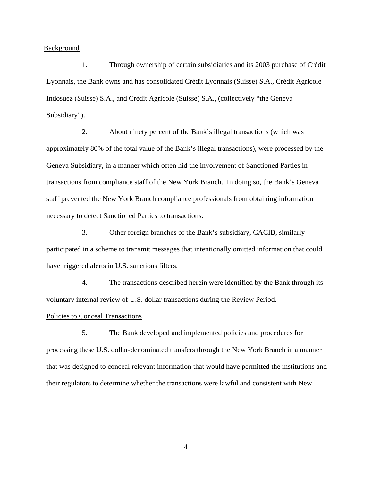**Background** 

1. Through ownership of certain subsidiaries and its 2003 purchase of Crédit Lyonnais, the Bank owns and has consolidated Crédit Lyonnais (Suisse) S.A., Crédit Agricole Indosuez (Suisse) S.A., and Crédit Agricole (Suisse) S.A., (collectively "the Geneva Subsidiary").

2. About ninety percent of the Bank's illegal transactions (which was approximately 80% of the total value of the Bank's illegal transactions), were processed by the Geneva Subsidiary, in a manner which often hid the involvement of Sanctioned Parties in transactions from compliance staff of the New York Branch. In doing so, the Bank's Geneva staff prevented the New York Branch compliance professionals from obtaining information necessary to detect Sanctioned Parties to transactions.

3. Other foreign branches of the Bank's subsidiary, CACIB, similarly participated in a scheme to transmit messages that intentionally omitted information that could have triggered alerts in U.S. sanctions filters.

4. The transactions described herein were identified by the Bank through its voluntary internal review of U.S. dollar transactions during the Review Period.

#### Policies to Conceal Transactions

5. The Bank developed and implemented policies and procedures for processing these U.S. dollar-denominated transfers through the New York Branch in a manner that was designed to conceal relevant information that would have permitted the institutions and their regulators to determine whether the transactions were lawful and consistent with New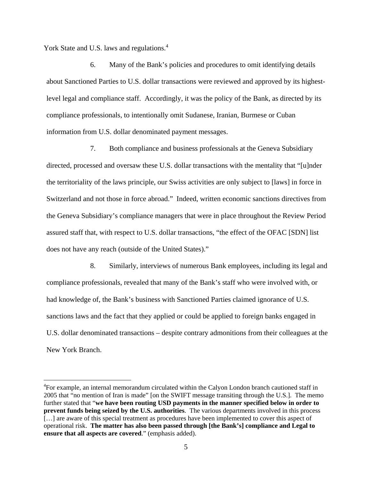York State and U.S. laws and regulations.<sup>4</sup>

 $\overline{a}$ 

6. Many of the Bank's policies and procedures to omit identifying details about Sanctioned Parties to U.S. dollar transactions were reviewed and approved by its highestlevel legal and compliance staff. Accordingly, it was the policy of the Bank, as directed by its compliance professionals, to intentionally omit Sudanese, Iranian, Burmese or Cuban information from U.S. dollar denominated payment messages.

7. Both compliance and business professionals at the Geneva Subsidiary directed, processed and oversaw these U.S. dollar transactions with the mentality that "[u]nder the territoriality of the laws principle, our Swiss activities are only subject to [laws] in force in Switzerland and not those in force abroad." Indeed, written economic sanctions directives from the Geneva Subsidiary's compliance managers that were in place throughout the Review Period assured staff that, with respect to U.S. dollar transactions, "the effect of the OFAC [SDN] list does not have any reach (outside of the United States)."

8. Similarly, interviews of numerous Bank employees, including its legal and compliance professionals, revealed that many of the Bank's staff who were involved with, or had knowledge of, the Bank's business with Sanctioned Parties claimed ignorance of U.S. sanctions laws and the fact that they applied or could be applied to foreign banks engaged in U.S. dollar denominated transactions – despite contrary admonitions from their colleagues at the New York Branch.

 2005 that "no mention of Iran is made" [on the SWIFT message transiting through the U.S.]. The memo <sup>4</sup>For example, an internal memorandum circulated within the Calyon London branch cautioned staff in further stated that "**we have been routing USD payments in the manner specified below in order to prevent funds being seized by the U.S. authorities**. The various departments involved in this process [...] are aware of this special treatment as procedures have been implemented to cover this aspect of operational risk. **The matter has also been passed through [the Bank's] compliance and Legal to ensure that all aspects are covered**." (emphasis added).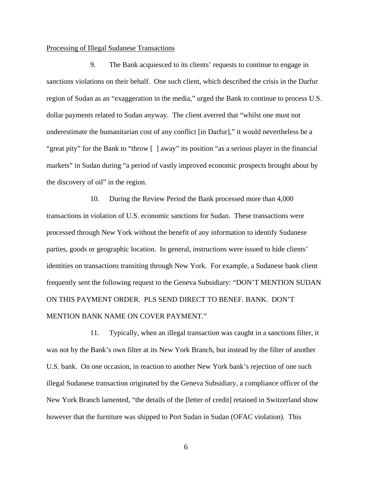# Processing of Illegal Sudanese Transactions

9. The Bank acquiesced to its clients' requests to continue to engage in sanctions violations on their behalf. One such client, which described the crisis in the Darfur region of Sudan as an "exaggeration in the media," urged the Bank to continue to process U.S. dollar payments related to Sudan anyway. The client averred that "whilst one must not underestimate the humanitarian cost of any conflict [in Darfur]," it would nevertheless be a "great pity" for the Bank to "throw [ ] away" its position "as a serious player in the financial markets" in Sudan during "a period of vastly improved economic prospects brought about by the discovery of oil" in the region.

10. During the Review Period the Bank processed more than 4,000 transactions in violation of U.S. economic sanctions for Sudan. These transactions were processed through New York without the benefit of any information to identify Sudanese parties, goods or geographic location. In general, instructions were issued to hide clients' identities on transactions transiting through New York. For example, a Sudanese bank client frequently sent the following request to the Geneva Subsidiary: "DON'T MENTION SUDAN ON THIS PAYMENT ORDER. PLS SEND DIRECT TO BENEF. BANK. DON'T MENTION BANK NAME ON COVER PAYMENT."

11. Typically, when an illegal transaction was caught in a sanctions filter, it was not by the Bank's own filter at its New York Branch, but instead by the filter of another U.S. bank. On one occasion, in reaction to another New York bank's rejection of one such illegal Sudanese transaction originated by the Geneva Subsidiary, a compliance officer of the New York Branch lamented, "the details of the [letter of credit] retained in Switzerland show however that the furniture was shipped to Port Sudan in Sudan (OFAC violation). This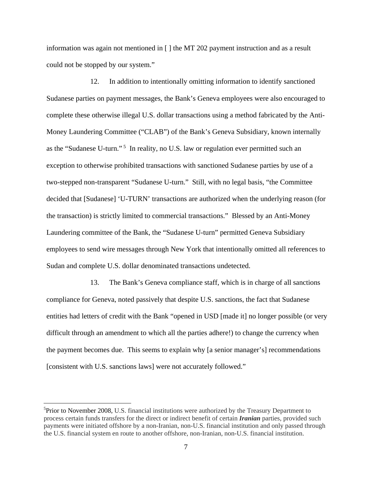information was again not mentioned in [ ] the MT 202 payment instruction and as a result could not be stopped by our system."

12. In addition to intentionally omitting information to identify sanctioned Sudanese parties on payment messages, the Bank's Geneva employees were also encouraged to complete these otherwise illegal U.S. dollar transactions using a method fabricated by the Anti-Money Laundering Committee ("CLAB") of the Bank's Geneva Subsidiary, known internally as the "Sudanese U-turn."<sup>5</sup> In reality, no U.S. law or regulation ever permitted such an exception to otherwise prohibited transactions with sanctioned Sudanese parties by use of a two-stepped non-transparent "Sudanese U-turn." Still, with no legal basis, "the Committee decided that [Sudanese] 'U-TURN' transactions are authorized when the underlying reason (for the transaction) is strictly limited to commercial transactions." Blessed by an Anti-Money Laundering committee of the Bank, the "Sudanese U-turn" permitted Geneva Subsidiary employees to send wire messages through New York that intentionally omitted all references to Sudan and complete U.S. dollar denominated transactions undetected.

13. The Bank's Geneva compliance staff, which is in charge of all sanctions compliance for Geneva, noted passively that despite U.S. sanctions, the fact that Sudanese entities had letters of credit with the Bank "opened in USD [made it] no longer possible (or very difficult through an amendment to which all the parties adhere!) to change the currency when the payment becomes due. This seems to explain why [a senior manager's] recommendations [consistent with U.S. sanctions laws] were not accurately followed."

 $\overline{\phantom{a}}$ 

<sup>&</sup>lt;sup>5</sup>Prior to November 2008, U.S. financial institutions were authorized by the Treasury Department to process certain funds transfers for the direct or indirect benefit of certain *Iranian* parties, provided such payments were initiated offshore by a non-Iranian, non-U.S. financial institution and only passed through the U.S. financial system en route to another offshore, non-Iranian, non-U.S. financial institution.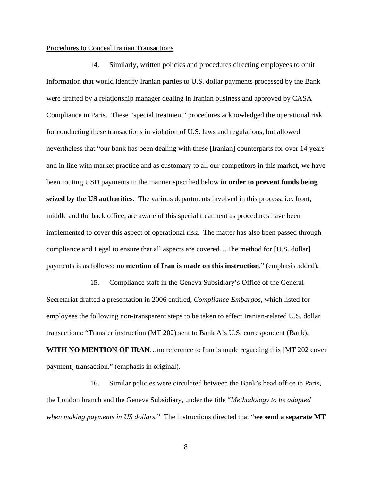# Procedures to Conceal Iranian Transactions

14. Similarly, written policies and procedures directing employees to omit information that would identify Iranian parties to U.S. dollar payments processed by the Bank were drafted by a relationship manager dealing in Iranian business and approved by CASA Compliance in Paris. These "special treatment" procedures acknowledged the operational risk for conducting these transactions in violation of U.S. laws and regulations, but allowed nevertheless that "our bank has been dealing with these [Iranian] counterparts for over 14 years and in line with market practice and as customary to all our competitors in this market, we have been routing USD payments in the manner specified below **in order to prevent funds being seized by the US authorities**. The various departments involved in this process, i.e. front, middle and the back office, are aware of this special treatment as procedures have been implemented to cover this aspect of operational risk. The matter has also been passed through compliance and Legal to ensure that all aspects are covered…The method for [U.S. dollar] payments is as follows: **no mention of Iran is made on this instruction**." (emphasis added).

15. Compliance staff in the Geneva Subsidiary's Office of the General Secretariat drafted a presentation in 2006 entitled, *Compliance Embargos*, which listed for employees the following non-transparent steps to be taken to effect Iranian-related U.S. dollar transactions: "Transfer instruction (MT 202) sent to Bank A's U.S. correspondent (Bank), **WITH NO MENTION OF IRAN**…no reference to Iran is made regarding this [MT 202 cover payment] transaction." (emphasis in original).

16. Similar policies were circulated between the Bank's head office in Paris, the London branch and the Geneva Subsidiary, under the title "*Methodology to be adopted when making payments in US dollars.*" The instructions directed that "**we send a separate MT**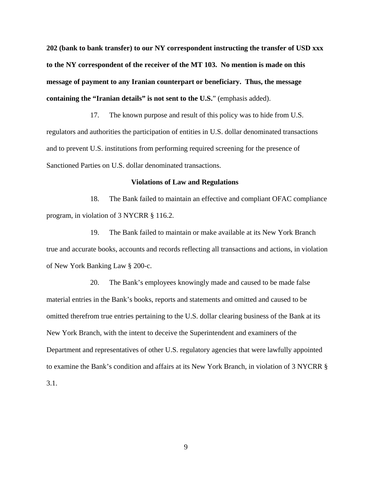**202 (bank to bank transfer) to our NY correspondent instructing the transfer of USD xxx to the NY correspondent of the receiver of the MT 103. No mention is made on this message of payment to any Iranian counterpart or beneficiary. Thus, the message containing the "Iranian details" is not sent to the U.S.**" (emphasis added).

17. The known purpose and result of this policy was to hide from U.S. regulators and authorities the participation of entities in U.S. dollar denominated transactions and to prevent U.S. institutions from performing required screening for the presence of Sanctioned Parties on U.S. dollar denominated transactions.

#### **Violations of Law and Regulations**

18. The Bank failed to maintain an effective and compliant OFAC compliance program, in violation of 3 NYCRR § 116.2.

19. The Bank failed to maintain or make available at its New York Branch true and accurate books, accounts and records reflecting all transactions and actions, in violation of New York Banking Law § 200-c.

20. The Bank's employees knowingly made and caused to be made false material entries in the Bank's books, reports and statements and omitted and caused to be omitted therefrom true entries pertaining to the U.S. dollar clearing business of the Bank at its New York Branch, with the intent to deceive the Superintendent and examiners of the Department and representatives of other U.S. regulatory agencies that were lawfully appointed to examine the Bank's condition and affairs at its New York Branch, in violation of 3 NYCRR § 3.1.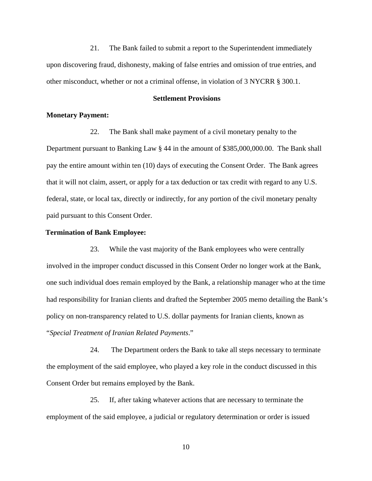21. The Bank failed to submit a report to the Superintendent immediately upon discovering fraud, dishonesty, making of false entries and omission of true entries, and other misconduct, whether or not a criminal offense, in violation of 3 NYCRR § 300.1.

#### **Settlement Provisions**

# **Monetary Payment:**

22. The Bank shall make payment of a civil monetary penalty to the Department pursuant to Banking Law § 44 in the amount of \$385,000,000.00. The Bank shall pay the entire amount within ten (10) days of executing the Consent Order. The Bank agrees that it will not claim, assert, or apply for a tax deduction or tax credit with regard to any U.S. federal, state, or local tax, directly or indirectly, for any portion of the civil monetary penalty paid pursuant to this Consent Order.

### **Termination of Bank Employee:**

23. While the vast majority of the Bank employees who were centrally involved in the improper conduct discussed in this Consent Order no longer work at the Bank, one such individual does remain employed by the Bank, a relationship manager who at the time had responsibility for Iranian clients and drafted the September 2005 memo detailing the Bank's policy on non-transparency related to U.S. dollar payments for Iranian clients, known as "*Special Treatment of Iranian Related Payments*."

24. The Department orders the Bank to take all steps necessary to terminate the employment of the said employee, who played a key role in the conduct discussed in this Consent Order but remains employed by the Bank.

25. If, after taking whatever actions that are necessary to terminate the employment of the said employee, a judicial or regulatory determination or order is issued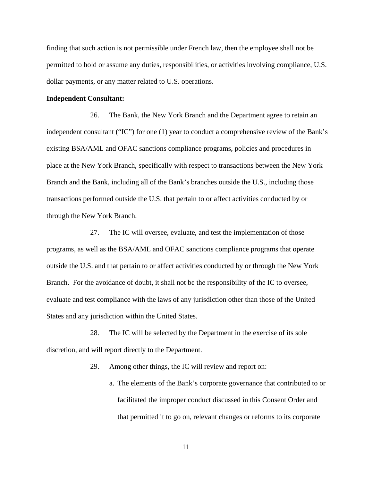finding that such action is not permissible under French law, then the employee shall not be permitted to hold or assume any duties, responsibilities, or activities involving compliance, U.S. dollar payments, or any matter related to U.S. operations.

#### **Independent Consultant:**

26. The Bank, the New York Branch and the Department agree to retain an independent consultant ("IC") for one (1) year to conduct a comprehensive review of the Bank's existing BSA/AML and OFAC sanctions compliance programs, policies and procedures in place at the New York Branch, specifically with respect to transactions between the New York Branch and the Bank, including all of the Bank's branches outside the U.S., including those transactions performed outside the U.S. that pertain to or affect activities conducted by or through the New York Branch.

27. The IC will oversee, evaluate, and test the implementation of those programs, as well as the BSA/AML and OFAC sanctions compliance programs that operate outside the U.S. and that pertain to or affect activities conducted by or through the New York Branch. For the avoidance of doubt, it shall not be the responsibility of the IC to oversee, evaluate and test compliance with the laws of any jurisdiction other than those of the United States and any jurisdiction within the United States.

28. The IC will be selected by the Department in the exercise of its sole discretion, and will report directly to the Department.

29. Among other things, the IC will review and report on:

a. The elements of the Bank's corporate governance that contributed to or facilitated the improper conduct discussed in this Consent Order and that permitted it to go on, relevant changes or reforms to its corporate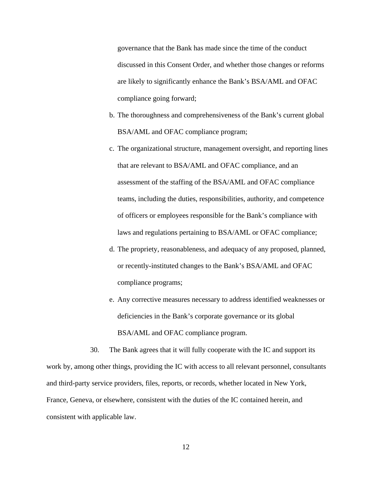governance that the Bank has made since the time of the conduct discussed in this Consent Order, and whether those changes or reforms are likely to significantly enhance the Bank's BSA/AML and OFAC compliance going forward;

- b. The thoroughness and comprehensiveness of the Bank's current global BSA/AML and OFAC compliance program;
- c. The organizational structure, management oversight, and reporting lines that are relevant to BSA/AML and OFAC compliance, and an assessment of the staffing of the BSA/AML and OFAC compliance teams, including the duties, responsibilities, authority, and competence of officers or employees responsible for the Bank's compliance with laws and regulations pertaining to BSA/AML or OFAC compliance;
- d. The propriety, reasonableness, and adequacy of any proposed, planned, or recently-instituted changes to the Bank's BSA/AML and OFAC compliance programs;
- e. Any corrective measures necessary to address identified weaknesses or deficiencies in the Bank's corporate governance or its global BSA/AML and OFAC compliance program.

30. The Bank agrees that it will fully cooperate with the IC and support its work by, among other things, providing the IC with access to all relevant personnel, consultants and third-party service providers, files, reports, or records, whether located in New York, France, Geneva, or elsewhere, consistent with the duties of the IC contained herein, and consistent with applicable law.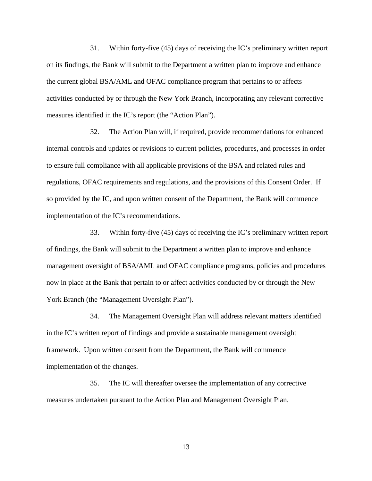31. Within forty-five (45) days of receiving the IC's preliminary written report on its findings, the Bank will submit to the Department a written plan to improve and enhance the current global BSA/AML and OFAC compliance program that pertains to or affects activities conducted by or through the New York Branch, incorporating any relevant corrective measures identified in the IC's report (the "Action Plan").

32. The Action Plan will, if required, provide recommendations for enhanced internal controls and updates or revisions to current policies, procedures, and processes in order to ensure full compliance with all applicable provisions of the BSA and related rules and regulations, OFAC requirements and regulations, and the provisions of this Consent Order. If so provided by the IC, and upon written consent of the Department, the Bank will commence implementation of the IC's recommendations.

33. Within forty-five (45) days of receiving the IC's preliminary written report of findings, the Bank will submit to the Department a written plan to improve and enhance management oversight of BSA/AML and OFAC compliance programs, policies and procedures now in place at the Bank that pertain to or affect activities conducted by or through the New York Branch (the "Management Oversight Plan").

34. The Management Oversight Plan will address relevant matters identified in the IC's written report of findings and provide a sustainable management oversight framework. Upon written consent from the Department, the Bank will commence implementation of the changes.

35. The IC will thereafter oversee the implementation of any corrective measures undertaken pursuant to the Action Plan and Management Oversight Plan.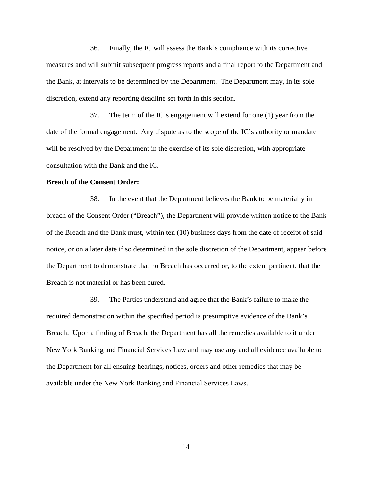36. Finally, the IC will assess the Bank's compliance with its corrective measures and will submit subsequent progress reports and a final report to the Department and the Bank, at intervals to be determined by the Department. The Department may, in its sole discretion, extend any reporting deadline set forth in this section.

37. The term of the IC's engagement will extend for one (1) year from the date of the formal engagement. Any dispute as to the scope of the IC's authority or mandate will be resolved by the Department in the exercise of its sole discretion, with appropriate consultation with the Bank and the IC.

# **Breach of the Consent Order:**

38. In the event that the Department believes the Bank to be materially in breach of the Consent Order ("Breach"), the Department will provide written notice to the Bank of the Breach and the Bank must, within ten (10) business days from the date of receipt of said notice, or on a later date if so determined in the sole discretion of the Department, appear before the Department to demonstrate that no Breach has occurred or, to the extent pertinent, that the Breach is not material or has been cured.

39. The Parties understand and agree that the Bank's failure to make the required demonstration within the specified period is presumptive evidence of the Bank's Breach. Upon a finding of Breach, the Department has all the remedies available to it under New York Banking and Financial Services Law and may use any and all evidence available to the Department for all ensuing hearings, notices, orders and other remedies that may be available under the New York Banking and Financial Services Laws.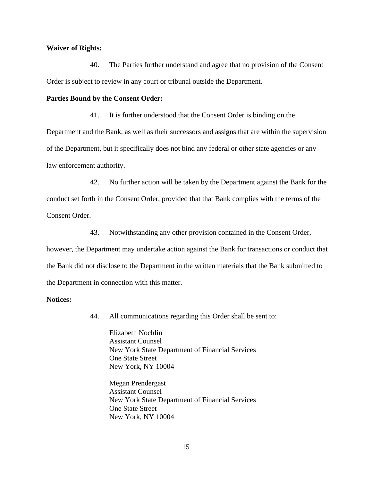## **Waiver of Rights:**

40. The Parties further understand and agree that no provision of the Consent Order is subject to review in any court or tribunal outside the Department.

# **Parties Bound by the Consent Order:**

41. It is further understood that the Consent Order is binding on the

Department and the Bank, as well as their successors and assigns that are within the supervision of the Department, but it specifically does not bind any federal or other state agencies or any law enforcement authority.

42. No further action will be taken by the Department against the Bank for the conduct set forth in the Consent Order, provided that that Bank complies with the terms of the Consent Order.

43. Notwithstanding any other provision contained in the Consent Order, however, the Department may undertake action against the Bank for transactions or conduct that the Bank did not disclose to the Department in the written materials that the Bank submitted to the Department in connection with this matter.

# **Notices:**

44. All communications regarding this Order shall be sent to:

Elizabeth Nochlin Assistant Counsel New York State Department of Financial Services One State Street New York, NY 10004

Megan Prendergast Assistant Counsel New York State Department of Financial Services One State Street New York, NY 10004